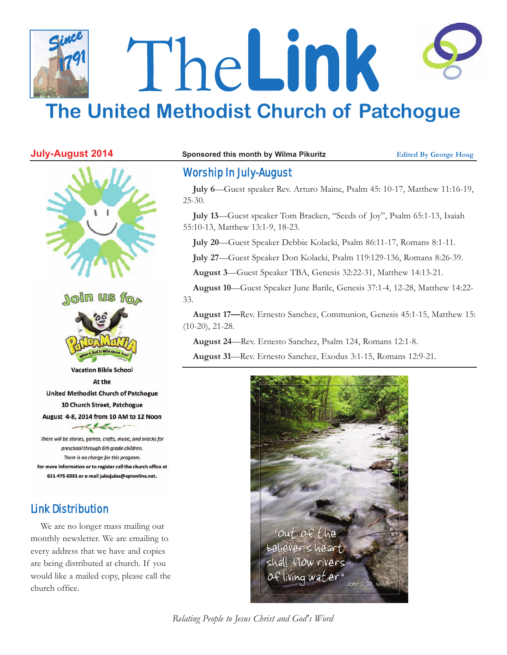# The**Link The United Methodist Church of Patchogue** *Since 1791*



# Worship In July-August

**July 6**—Guest speaker Rev. Arturo Maine, Psalm 45: 10-17, Matthew 11:16-19, 25-30.

**July 13**—Guest speaker Tom Bracken, "Seeds of Joy", Psalm 65:1-13, Isaiah 55:10-13, Matthew 13:1-9, 18-23.

**July 20**—Guest Speaker Debbie Kolacki, Psalm 86:11-17, Romans 8:1-11.

**July 27**—Guest Speaker Don Kolacki, Psalm 119:129-136, Romans 8:26-39.

**August 3**—Guest Speaker TBA, Genesis 32:22-31, Matthew 14:13-21.

**August 10**—Guest Speaker June Barile, Genesis 37:1-4, 12-28, Matthew 14:22- 33.

**August 17—**Rev. Ernesto Sanchez, Communion, Genesis 45:1-15, Matthew 15: (10-20), 21-28.

**August 24**—Rev. Ernesto Sanchez, Psalm 124, Romans 12:1-8.

**August 31**—Rev. Ernesto Sanchez, Exodus 3:1-15, Romans 12:9-21.



*Relating People to Jesus Christ and God's Word*

# Link Distribution

We are no longer mass mailing our monthly newsletter. We are emailing to every address that we have and copies are being distributed at church. If you would like a mailed copy, please call the church office.





**Vacation Bible School** At the **United Methodist Church of Patchogue** 10 Church Street, Patchogue August 4-8, 2014 from 10 AM to 12 Noon  $\sim$ 

There will be stories, games, crafts, music, and snacks for preschool through 6th grade children. There is no charge for this program. For more information or to register call the church office at 631-475-0381 or e-mail julesjules@optonline.net.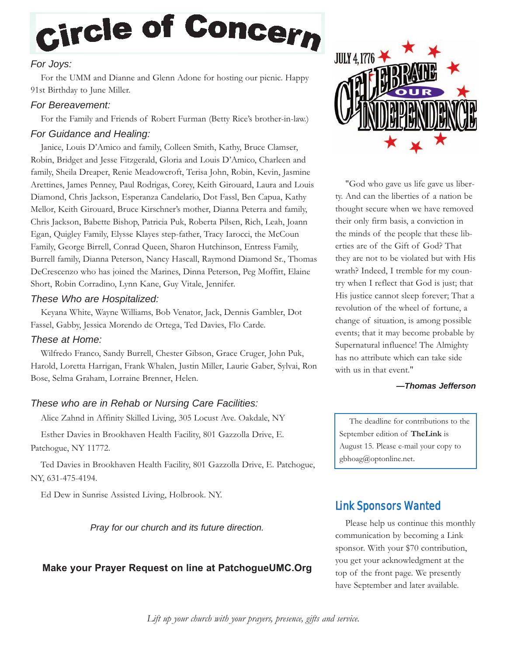# Circle of Concern

### *For Joys:*

For the UMM and Dianne and Glenn Adone for hosting our picnic. Happy 91st Birthday to June Miller.

#### *For Bereavement:*

For the Family and Friends of Robert Furman (Betty Rice's brother-in-law.)

#### *For Guidance and Healing:*

Janice, Louis D'Amico and family, Colleen Smith, Kathy, Bruce Clamser, Robin, Bridget and Jesse Fitzgerald, Gloria and Louis D'Amico, Charleen and family, Sheila Dreaper, Renie Meadowcroft, Terisa John, Robin, Kevin, Jasmine Arettines, James Penney, Paul Rodrigas, Corey, Keith Girouard, Laura and Louis Diamond, Chris Jackson, Esperanza Candelario, Dot Fassl, Ben Capua, Kathy Mellor, Keith Girouard, Bruce Kirschner's mother, Dianna Peterra and family, Chris Jackson, Babette Bishop, Patricia Puk, Roberta Pilsen, Rich, Leah, Joann Egan, Quigley Family, Elysse Klayes step-father, Tracy Iarocci, the McCoun Family, George Birrell, Conrad Queen, Sharon Hutchinson, Entress Family, Burrell family, Dianna Peterson, Nancy Hascall, Raymond Diamond Sr., Thomas DeCrescenzo who has joined the Marines, Dinna Peterson, Peg Moffitt, Elaine Short, Robin Corradino, Lynn Kane, Guy Vitale, Jennifer.

#### *These Who are Hospitalized:*

Keyana White, Wayne Williams, Bob Venator, Jack, Dennis Gambler, Dot Fassel, Gabby, Jessica Morendo de Ortega, Ted Davies, Flo Carde.

#### *These at Home:*

Wilfredo Franco, Sandy Burrell, Chester Gibson, Grace Cruger, John Puk, Harold, Loretta Harrigan, Frank Whalen, Justin Miller, Laurie Gaber, Sylvai, Ron Bose, Selma Graham, Lorraine Brenner, Helen.

### *These who are in Rehab or Nursing Care Facilities:*

Alice Zahnd in Affinity Skilled Living, 305 Locust Ave. Oakdale, NY

Esther Davies in Brookhaven Health Facility, 801 Gazzolla Drive, E. Patchogue, NY 11772.

Ted Davies in Brookhaven Health Facility, 801 Gazzolla Drive, E. Patchogue, NY, 631-475-4194.

Ed Dew in Sunrise Assisted Living, Holbrook. NY.

*Pray for our church and its future direction.*

### **Make your Prayer Request on line at PatchogueUMC.Org**



"God who gave us life gave us liberty. And can the liberties of a nation be thought secure when we have removed their only firm basis, a conviction in the minds of the people that these liberties are of the Gift of God? That they are not to be violated but with His wrath? Indeed, I tremble for my country when I reflect that God is just; that His justice cannot sleep forever; That a revolution of the wheel of fortune, a change of situation, is among possible events; that it may become probable by Supernatural influence! The Almighty has no attribute which can take side with us in that event."

#### *—Thomas Jefferson*

The deadline for contributions to the September edition of **TheLink** is August 15. Please e-mail your copy to gbhoag@optonline.net.

# Link Sponsors Wanted

Please help us continue this monthly communication by becoming a Link sponsor. With your \$70 contribution, you get your acknowledgment at the top of the front page. We presently have September and later available.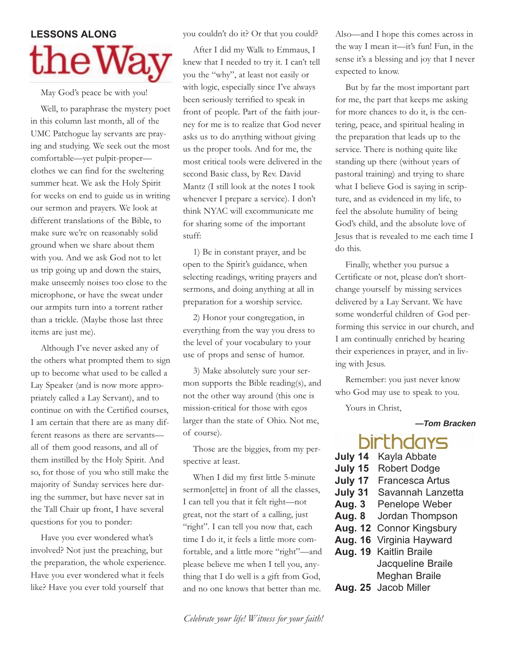# **LESSONS** ALONG  ${\rm the W\!}\,$

May God's peace be with you!

Well, to paraphrase the mystery poet in this column last month, all of the UMC Patchogue lay servants are praying and studying. We seek out the most comfortable—yet pulpit-proper clothes we can find for the sweltering summer heat. We ask the Holy Spirit for weeks on end to guide us in writing our sermon and prayers. We look at different translations of the Bible, to make sure we're on reasonably solid ground when we share about them with you. And we ask God not to let us trip going up and down the stairs, make unseemly noises too close to the microphone, or have the sweat under our armpits turn into a torrent rather than a trickle. (Maybe those last three items are just me).

Although I've never asked any of the others what prompted them to sign up to become what used to be called a Lay Speaker (and is now more appropriately called a Lay Servant), and to continue on with the Certified courses, I am certain that there are as many different reasons as there are servants all of them good reasons, and all of them instilled by the Holy Spirit. And so, for those of you who still make the majority of Sunday services here during the summer, but have never sat in the Tall Chair up front, I have several questions for you to ponder:

Have you ever wondered what's involved? Not just the preaching, but the preparation, the whole experience. Have you ever wondered what it feels like? Have you ever told yourself that

you couldn't do it? Or that you could?

After I did my Walk to Emmaus, I knew that I needed to try it. I can't tell you the "why", at least not easily or with logic, especially since I've always been seriously terrified to speak in front of people. Part of the faith journey for me is to realize that God never asks us to do anything without giving us the proper tools. And for me, the most critical tools were delivered in the second Basic class, by Rev. David Mantz (I still look at the notes I took whenever I prepare a service). I don't think NYAC will excommunicate me for sharing some of the important stuff:

1) Be in constant prayer, and be open to the Spirit's guidance, when selecting readings, writing prayers and sermons, and doing anything at all in preparation for a worship service.

2) Honor your congregation, in everything from the way you dress to the level of your vocabulary to your use of props and sense of humor.

3) Make absolutely sure your sermon supports the Bible reading(s), and not the other way around (this one is mission-critical for those with egos larger than the state of Ohio. Not me, of course).

Those are the biggies, from my perspective at least.

When I did my first little 5-minute sermon[ette] in front of all the classes, I can tell you that it felt right—not great, not the start of a calling, just "right". I can tell you now that, each time I do it, it feels a little more comfortable, and a little more "right"—and please believe me when I tell you, anything that I do well is a gift from God, and no one knows that better than me.

Also—and I hope this comes across in the way I mean it—it's fun! Fun, in the sense it's a blessing and joy that I never expected to know.

But by far the most important part for me, the part that keeps me asking for more chances to do it, is the centering, peace, and spiritual healing in the preparation that leads up to the service. There is nothing quite like standing up there (without years of pastoral training) and trying to share what I believe God is saying in scripture, and as evidenced in my life, to feel the absolute humility of being God's child, and the absolute love of Jesus that is revealed to me each time I do this.

Finally, whether you pursue a Certificate or not, please don't shortchange yourself by missing services delivered by a Lay Servant. We have some wonderful children of God performing this service in our church, and I am continually enriched by hearing their experiences in prayer, and in living with Jesus.

Remember: you just never know who God may use to speak to you.

Yours in Christ,

#### *—Tom Bracken*

# rnaays

- **July 14** Kayla Abbate **July 15** Robert Dodge **July 17** Francesca Artus
- **July 31** Savannah Lanzetta
- **Aug. 3** Penelope Weber
- **Aug. 8** Jordan Thompson
- **Aug. 12** Connor Kingsbury
- **Aug. 16** Virginia Hayward
- **Aug. 19** Kaitlin Braile Jacqueline Braile Meghan Braile
- **Aug. 25** Jacob Miller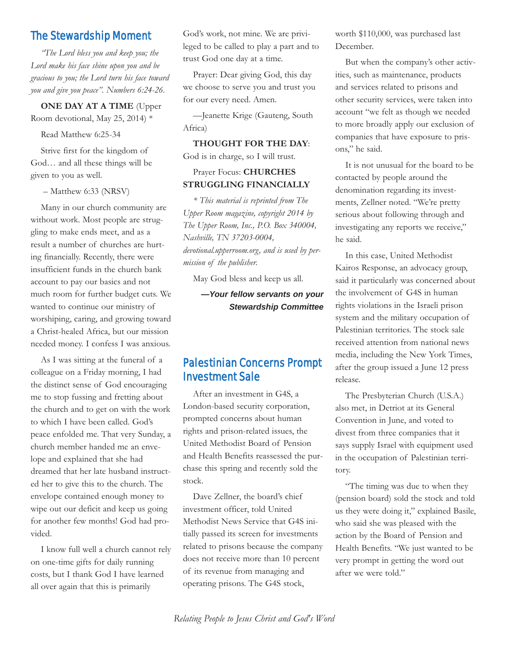### The Stewardship Moment

*"The Lord bless you and keep you; the Lord make his face shine upon you and be gracious to you; the Lord turn his face toward you and give you peace". Numbers 6:24-26.*

#### **ONE DAY AT A TIME** (Upper

Room devotional, May 25, 2014) \*

Read Matthew 6:25-34

Strive first for the kingdom of God… and all these things will be given to you as well.

– Matthew 6:33 (NRSV)

Many in our church community are without work. Most people are struggling to make ends meet, and as a result a number of churches are hurting financially. Recently, there were insufficient funds in the church bank account to pay our basics and not much room for further budget cuts. We wanted to continue our ministry of worshiping, caring, and growing toward a Christ-healed Africa, but our mission needed money. I confess I was anxious.

As I was sitting at the funeral of a colleague on a Friday morning, I had the distinct sense of God encouraging me to stop fussing and fretting about the church and to get on with the work to which I have been called. God's peace enfolded me. That very Sunday, a church member handed me an envelope and explained that she had dreamed that her late husband instructed her to give this to the church. The envelope contained enough money to wipe out our deficit and keep us going for another few months! God had provided.

I know full well a church cannot rely on one-time gifts for daily running costs, but I thank God I have learned all over again that this is primarily

God's work, not mine. We are privileged to be called to play a part and to trust God one day at a time.

Prayer: Dear giving God, this day we choose to serve you and trust you for our every need. Amen.

—Jeanette Krige (Gauteng, South Africa)

**THOUGHT FOR THE DAY**: God is in charge, so I will trust.

#### Prayer Focus: **CHURCHES STRUGGLING FINANCIALLY**

*\* This material is reprinted from The Upper Room magazine, copyright 2014 by The Upper Room, Inc., P.O. Box 340004, Nashville, TN 37203-0004, devotional.upperroom.org, and is used by permission of the publisher.*

May God bless and keep us all.

*—Your fellow servants on your Stewardship Committee*

## Palestinian Concerns Prompt Investment Sale

After an investment in G4S, a London-based security corporation, prompted concerns about human rights and prison-related issues, the United Methodist Board of Pension and Health Benefits reassessed the purchase this spring and recently sold the stock.

Dave Zellner, the board's chief investment officer, told United Methodist News Service that G4S initially passed its screen for investments related to prisons because the company does not receive more than 10 percent of its revenue from managing and operating prisons. The G4S stock,

worth \$110,000, was purchased last December.

But when the company's other activities, such as maintenance, products and services related to prisons and other security services, were taken into account "we felt as though we needed to more broadly apply our exclusion of companies that have exposure to prisons," he said.

It is not unusual for the board to be contacted by people around the denomination regarding its investments, Zellner noted. "We're pretty serious about following through and investigating any reports we receive," he said.

In this case, United Methodist Kairos Response, an advocacy group, said it particularly was concerned about the involvement of G4S in human rights violations in the Israeli prison system and the military occupation of Palestinian territories. The stock sale received attention from national news media, including the New York Times, after the group issued a June 12 press release.

The Presbyterian Church (U.S.A.) also met, in Detriot at its General Convention in June, and voted to divest from three companies that it says supply Israel with equipment used in the occupation of Palestinian territory.

"The timing was due to when they (pension board) sold the stock and told us they were doing it," explained Basile, who said she was pleased with the action by the Board of Pension and Health Benefits. "We just wanted to be very prompt in getting the word out after we were told."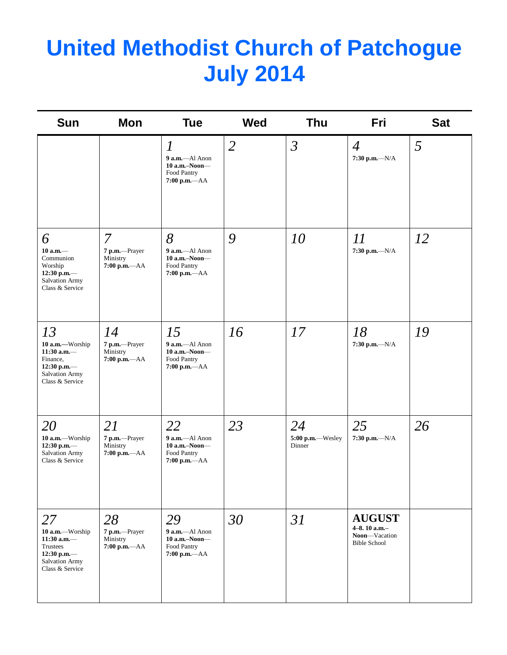# **United Methodist Church of Patchogue July 2014**

| <b>Sun</b>                                                                                              | <b>Mon</b>                                                  | <b>Tue</b>                                                                               | <b>Wed</b>     | <b>Thu</b>                       | Fri                                                                   | <b>Sat</b> |
|---------------------------------------------------------------------------------------------------------|-------------------------------------------------------------|------------------------------------------------------------------------------------------|----------------|----------------------------------|-----------------------------------------------------------------------|------------|
|                                                                                                         |                                                             | $\boldsymbol{l}$<br>$9$ a.m.-Al Anon<br>$10$ a.m.-Noon-<br>Food Pantry<br>7:00 p.m.-- AA | $\overline{2}$ | $\mathfrak{Z}$                   | $\overline{4}$<br>7:30 p.m.- $N/A$                                    | 5          |
| 6<br>$10$ a.m. $-$<br>Communion<br>Worship<br>12:30 p.m.—<br><b>Salvation Army</b><br>Class & Service   | $\overline{7}$<br>7 p.m.-Prayer<br>Ministry<br>7:00 p.m.-AA | 8<br>$9$ a.m.-Al Anon<br>$10$ a.m.-Noon-<br>Food Pantry<br>7:00 p.m.-- AA                | 9              | 10                               | 11<br>$7:30$ p.m.- $-N/A$                                             | 12         |
| 13<br>10 a.m.-Worship<br>11:30 a.m. $-$<br>Finance,<br>12:30 p.m.-<br>Salvation Army<br>Class & Service | 14<br>7 p.m.-Prayer<br>Ministry<br>$7:00$ p.m.- $AA$        | 15<br>9 a.m.-Al Anon<br>$10$ a.m.-Noon-<br>Food Pantry<br>7:00 p.m.-- AA                 | 16             | 17                               | 18<br>7:30 p.m.- $N/A$                                                | 19         |
| 20<br>10 a.m.-Worship<br>12:30 p.m.-<br>Salvation Army<br>Class & Service                               | 21<br>7 p.m.-Prayer<br>Ministry<br>$7:00$ p.m.- $AA$        | 22<br>9 a.m.-Al Anon<br>10 a.m.-Noon-<br>Food Pantry<br>7:00 p.m.-AA                     | 23             | 24<br>5:00 p.m.-Wesley<br>Dinner | 25<br>7:30 p.m.- $N/A$                                                | 26         |
| 27<br>10 a.m.-Worship<br>$11:30$ a.m.-<br>Trustees<br>12:30 p.m.-<br>Salvation Army<br>Class & Service  | 28<br>7 p.m.-Prayer<br>Ministry<br>7:00 p.m.-AA             | 29<br>9 a.m.-Al Anon<br>$10$ a.m.-Noon-<br>Food Pantry<br>7:00 p.m.-- AA                 | 30             | 31                               | <b>AUGUST</b><br>4-8.10 a.m.-<br>Noon-Vacation<br><b>Bible School</b> |            |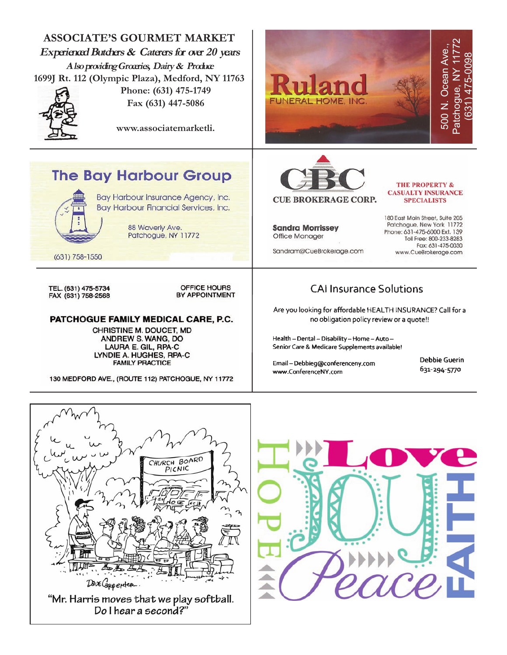



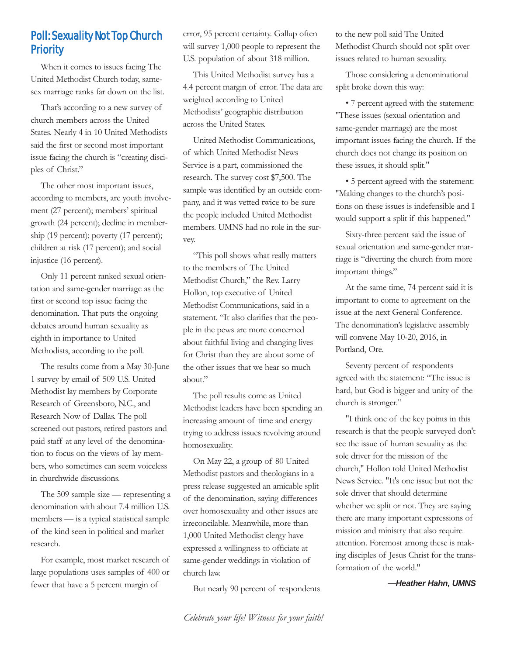# Poll: Sexuality Not Top Church **Priority**

When it comes to issues facing The United Methodist Church today, samesex marriage ranks far down on the list.

That's according to a new survey of church members across the United States. Nearly 4 in 10 United Methodists said the first or second most important issue facing the church is "creating disciples of Christ."

The other most important issues, according to members, are youth involvement (27 percent); members' spiritual growth (24 percent); decline in membership (19 percent); poverty (17 percent); children at risk (17 percent); and social injustice (16 percent).

Only 11 percent ranked sexual orientation and same-gender marriage as the first or second top issue facing the denomination. That puts the ongoing debates around human sexuality as eighth in importance to United Methodists, according to the poll.

The results come from a May 30-June 1 survey by email of 509 U.S. United Methodist lay members by Corporate Research of Greensboro, N.C., and Research Now of Dallas. The poll screened out pastors, retired pastors and paid staff at any level of the denomination to focus on the views of lay members, who sometimes can seem voiceless in churchwide discussions.

The 509 sample size — representing a denomination with about 7.4 million U.S. members — is a typical statistical sample of the kind seen in political and market research.

For example, most market research of large populations uses samples of 400 or fewer that have a 5 percent margin of

error, 95 percent certainty. Gallup often will survey  $1,000$  people to represent the U.S. population of about 318 million.

This United Methodist survey has a 4.4 percent margin of error. The data are weighted according to United Methodists' geographic distribution across the United States.

United Methodist Communications, of which United Methodist News Service is a part, commissioned the research. The survey cost \$7,500. The sample was identified by an outside company, and it was vetted twice to be sure the people included United Methodist members. UMNS had no role in the survey.

"This poll shows what really matters to the members of The United Methodist Church," the Rev. Larry Hollon, top executive of United Methodist Communications, said in a statement. "It also clarifies that the people in the pews are more concerned about faithful living and changing lives for Christ than they are about some of the other issues that we hear so much about."

The poll results come as United Methodist leaders have been spending an increasing amount of time and energy trying to address issues revolving around homosexuality.

On May 22, a group of 80 United Methodist pastors and theologians in a press release suggested an amicable split of the denomination, saying differences over homosexuality and other issues are irreconcilable. Meanwhile, more than 1,000 United Methodist clergy have expressed a willingness to officiate at same-gender weddings in violation of church law.

But nearly 90 percent of respondents

to the new poll said The United Methodist Church should not split over issues related to human sexuality.

Those considering a denominational split broke down this way:

• 7 percent agreed with the statement: "These issues (sexual orientation and same-gender marriage) are the most important issues facing the church. If the church does not change its position on these issues, it should split."

• 5 percent agreed with the statement: "Making changes to the church's positions on these issues is indefensible and I would support a split if this happened."

Sixty-three percent said the issue of sexual orientation and same-gender marriage is "diverting the church from more important things."

At the same time, 74 percent said it is important to come to agreement on the issue at the next General Conference. The denomination's legislative assembly will convene May 10-20, 2016, in Portland, Ore.

Seventy percent of respondents agreed with the statement: "The issue is hard, but God is bigger and unity of the church is stronger."

"I think one of the key points in this research is that the people surveyed don't see the issue of human sexuality as the sole driver for the mission of the church," Hollon told United Methodist News Service. "It's one issue but not the sole driver that should determine whether we split or not. They are saying there are many important expressions of mission and ministry that also require attention. Foremost among these is making disciples of Jesus Christ for the transformation of the world."

*—Heather Hahn, UMNS*